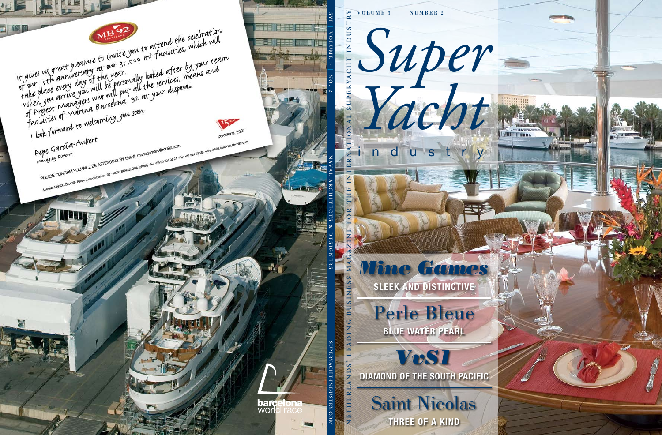volume 3 | number 2

**SLEEK AND DISTINCTIVE** Perle Bleue

*Mine Games*

*Yacht*

industry

**BLUE WATER PEARL**

**DIAMOND OF THE SOUTH PACIFIC**

*VvS1*

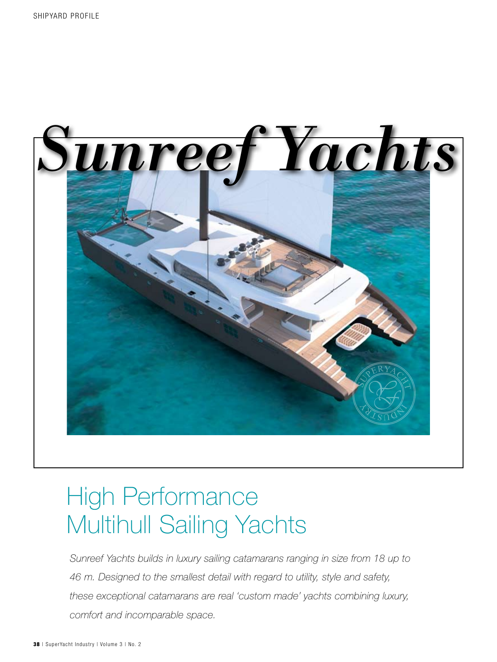

# High Performance Multihull Sailing Yachts

*Sunreef Yachts builds in luxury sailing catamarans ranging in size from 18 up to 46 m. Designed to the smallest detail with regard to utility, style and safety, these exceptional catamarans are real 'custom made' yachts combining luxury, comfort and incomparable space.*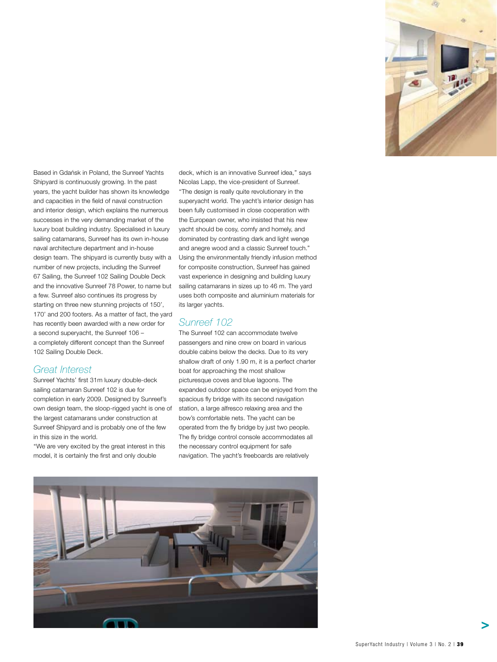

**Based in Gdańsk in Poland, the Sunreef Yachts**<br>Shipvard is continuously growing. In the past Shipyard is continuously growing. In the past years, the yacht builder has shown its knowledge and capacities in the field of naval construction and interior design, which explains the numerous successes in the very demanding market of the luxury boat building industry. Specialised in luxury sailing catamarans, Sunreef has its own in-house naval architecture department and in-house design team. The shipyard is currently busy with a number of new projects, including the Sunreef 67 Sailing, the Sunreef 102 Sailing Double Deck and the innovative Sunreef 78 Power, to name but a few. Sunreef also continues its progress by starting on three new stunning projects of 150', 170' and 200 footers. As a matter of fact, the yard has recently been awarded with a new order for a second superyacht, the Sunreef 106 – a completely different concept than the Sunreef 102 Sailing Double Deck. ´

#### *Great Interest*

Sunreef Yachts' first 31m luxury double-deck sailing catamaran Sunreef 102 is due for completion in early 2009. Designed by Sunreef's own design team, the sloop-rigged yacht is one of the largest catamarans under construction at Sunreef Shipyard and is probably one of the few in this size in the world.

''We are very excited by the great interest in this model, it is certainly the first and only double

deck, which is an innovative Sunreef idea,'' says Nicolas Lapp, the vice-president of Sunreef. ''The design is really quite revolutionary in the superyacht world. The yacht's interior design has been fully customised in close cooperation with the European owner, who insisted that his new yacht should be cosy, comfy and homely, and dominated by contrasting dark and light wenge and anegre wood and a classic Sunreef touch." Using the environmentally friendly infusion method for composite construction, Sunreef has gained vast experience in designing and building luxury sailing catamarans in sizes up to 46 m. The yard uses both composite and aluminium materials for its larger yachts.

#### *Sunreef 102*

The Sunreef 102 can accommodate twelve passengers and nine crew on board in various double cabins below the decks. Due to its very shallow draft of only 1.90 m, it is a perfect charter boat for approaching the most shallow picturesque coves and blue lagoons. The expanded outdoor space can be enjoyed from the spacious fly bridge with its second navigation station, a large alfresco relaxing area and the bow's comfortable nets. The yacht can be operated from the fly bridge by just two people. The fly bridge control console accommodates all the necessary control equipment for safe navigation. The yacht's freeboards are relatively

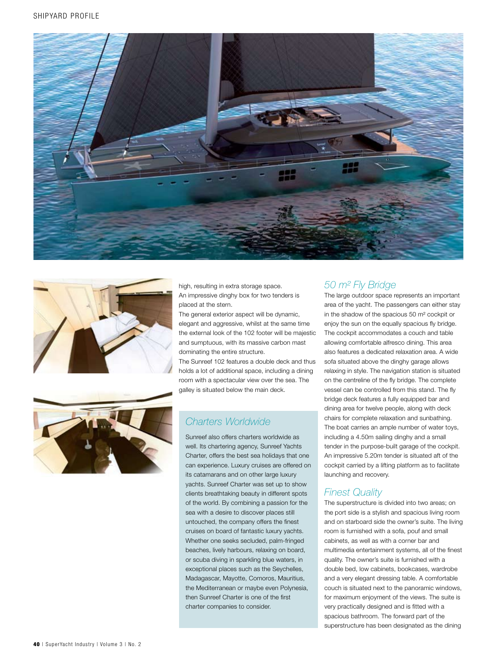





high, resulting in extra storage space. An impressive dinghy box for two tenders is placed at the stern.

The general exterior aspect will be dynamic, elegant and aggressive, whilst at the same time the external look of the 102 footer will be majestic and sumptuous, with its massive carbon mast dominating the entire structure.

The Sunreef 102 features a double deck and thus holds a lot of additional space, including a dining room with a spectacular view over the sea. The galley is situated below the main deck.

# *Charters Worldwide*

Sunreef also offers charters worldwide as well. Its chartering agency, Sunreef Yachts Charter, offers the best sea holidays that one can experience. Luxury cruises are offered on its catamarans and on other large luxury yachts. Sunreef Charter was set up to show clients breathtaking beauty in different spots of the world. By combining a passion for the sea with a desire to discover places still untouched, the company offers the finest cruises on board of fantastic luxury yachts. Whether one seeks secluded, palm-fringed beaches, lively harbours, relaxing on board, or scuba diving in sparkling blue waters, in exceptional places such as the Seychelles, Madagascar, Mayotte, Comoros, Mauritius, the Mediterranean or maybe even Polynesia, then Sunreef Charter is one of the first charter companies to consider.

# *50 m² Fly Bridge*

The large outdoor space represents an important area of the yacht. The passengers can either stay in the shadow of the spacious 50 m² cockpit or enjoy the sun on the equally spacious fly bridge. The cockpit accommodates a couch and table allowing comfortable alfresco dining. This area also features a dedicated relaxation area. A wide sofa situated above the dinghy garage allows relaxing in style. The navigation station is situated on the centreline of the fly bridge. The complete vessel can be controlled from this stand. The fly bridge deck features a fully equipped bar and dining area for twelve people, along with deck chairs for complete relaxation and sunbathing. The boat carries an ample number of water toys, including a 4.50m sailing dinghy and a small tender in the purpose-built garage of the cockpit. An impressive 5.20m tender is situated aft of the cockpit carried by a lifting platform as to facilitate launching and recovery.

# *Finest Quality*

The superstructure is divided into two areas; on the port side is a stylish and spacious living room and on starboard side the owner's suite. The living room is furnished with a sofa, pouf and small cabinets, as well as with a corner bar and multimedia entertainment systems, all of the finest quality. The owner's suite is furnished with a double bed, low cabinets, bookcases, wardrobe and a very elegant dressing table. A comfortable couch is situated next to the panoramic windows, for maximum enjoyment of the views. The suite is very practically designed and is fitted with a spacious bathroom. The forward part of the superstructure has been designated as the dining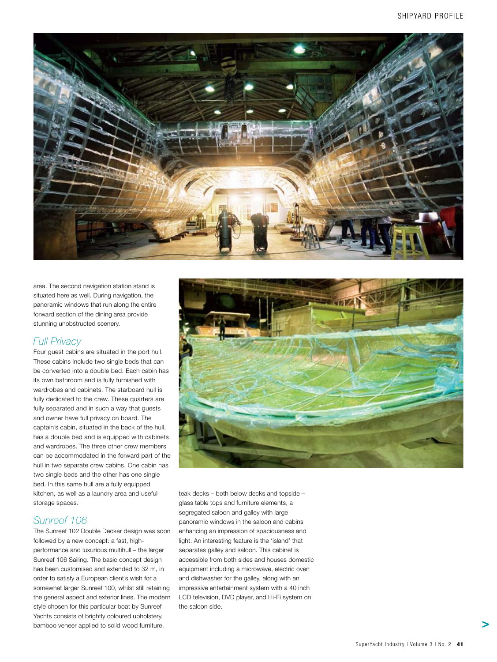

area. The second navigation station stand is situated here as well. During navigation, the panoramic windows that run along the entire forward section of the dining area provide stunning unobstructed scenery.

#### *Full Privacy*

Four guest cabins are situated in the port hull. These cabins include two single beds that can be converted into a double bed. Each cabin has its own bathroom and is fully furnished with wardrobes and cabinets. The starboard hull is fully dedicated to the crew. These quarters are fully separated and in such a way that guests and owner have full privacy on board. The captain's cabin, situated in the back of the hull, has a double bed and is equipped with cabinets and wardrobes. The three other crew members can be accommodated in the forward part of the hull in two separate crew cabins. One cabin has two single beds and the other has one single bed. In this same hull are a fully equipped kitchen, as well as a laundry area and useful storage spaces.

# *Sunreef 106*

The Sunreef 102 Double Decker design was soon followed by a new concept: a fast, highperformance and luxurious multihull – the larger Sunreef 106 Sailing. The basic concept design has been customised and extended to 32 m, in order to satisfy a European client's wish for a somewhat larger Sunreef 100, whilst still retaining the general aspect and exterior lines. The modern style chosen for this particular boat by Sunreef Yachts consists of brightly coloured upholstery, bamboo veneer applied to solid wood furniture,



teak decks – both below decks and topside – glass table tops and furniture elements, a segregated saloon and galley with large panoramic windows in the saloon and cabins enhancing an impression of spaciousness and light. An interesting feature is the 'island' that separates galley and saloon. This cabinet is accessible from both sides and houses domestic equipment including a microwave, electric oven and dishwasher for the galley, along with an impressive entertainment system with a 40 inch LCD television, DVD player, and Hi-Fi system on the saloon side.